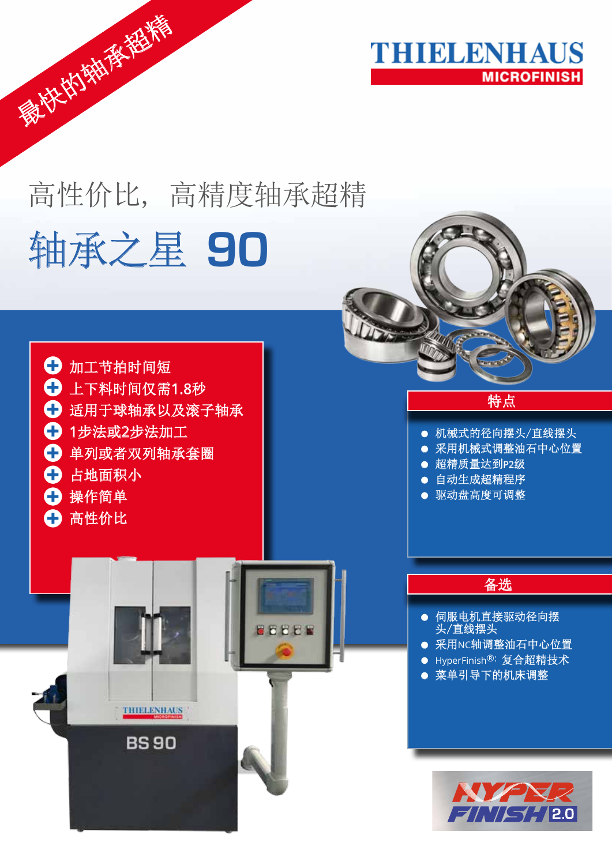

# 高性价比, 高精度轴承超精 轴承之星 **90**

**BEEER** 



**THIELENHAUS** 

**BS90** 

最快的操作者稀稀

# 特点

- 机械式的径向摆头/直线摆头
- 采用机械式调整油石中心位置
- **超精质量达到P2级**
- 自动生成超精程序
- 驱动盘高度可调整

# 备选

- 伺服电机直接驱动径向摆 头/直线摆头
- 采用NC轴调整油石中心位置
- HyperFinish®: 复合超精技术
- 菜单引导下的机床调整